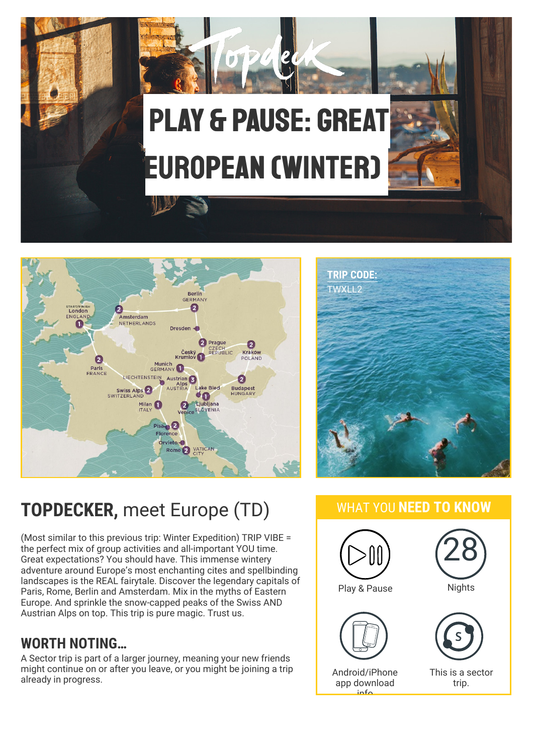





## **TOPDECKER,** meet Europe (TD)

(Most similar to this previous trip: Winter Expedition) TRIP VIBE = the perfect mix of group activities and all-important YOU time. Great expectations? You should have. This immense wintery adventure around Europe's most enchanting cites and spellbinding landscapes is the REAL fairytale. Discover the legendary capitals of Paris, Rome, Berlin and Amsterdam. Mix in the myths of Eastern Europe. And sprinkle the snow-capped peaks of the Swiss AND Austrian Alps on top. This trip is pure magic. Trust us.

#### **WORTH NOTING…**

A Sector trip is part of a larger journey, meaning your new friends might continue on or after you leave, or you might be joining a trip already in progress.

#### WHAT YOU **NEED TO KNOW**

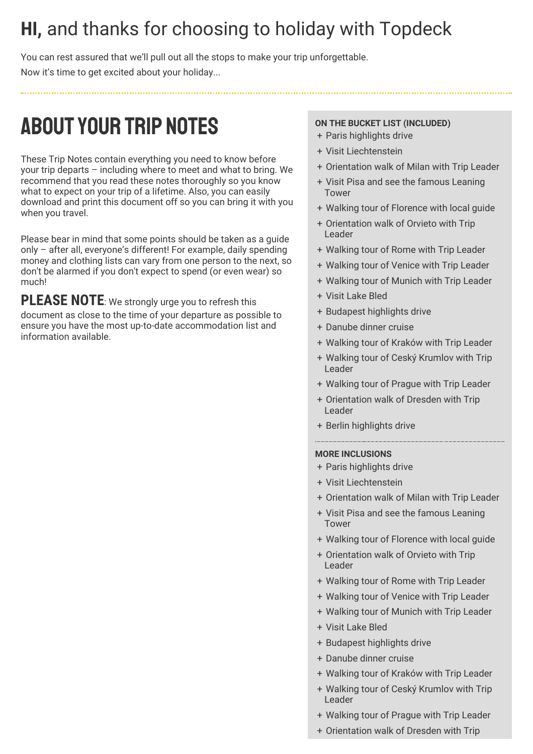## **HI,** and thanks for choosing to holiday with Topdeck

You can rest assured that we'll pull out all the stops to make your trip unforgettable. Now it's time to get excited about your holiday...

## ABOUTYOUR TRIP NOTES

These Trip Notes contain everything you need to know before your trip departs – including where to meet and what to bring. We recommend that you read these notes thoroughly so you know what to expect on your trip of a lifetime. Also, you can easily download and print this document off so you can bring it with you when you travel.

Please bear in mind that some points should be taken as a guide only – after all, everyone's different! For example, daily spending money and clothing lists can vary from one person to the next, so don't be alarmed if you don't expect to spend (or even wear) so much!

**PLEASE NOTE**: We strongly urge you to refresh this document as close to the time of your departure as possible to ensure you have the most up-to-date accommodation list and information available.

#### **ON THE BUCKET LIST (INCLUDED)**

- + Paris highlights drive
- + Visit Liechtenstein
- + Orientation walk of Milan with Trip Leader
- + Visit Pisa and see the famous Leaning Tower
- + Walking tour of Florence with local guide
- + Orientation walk of Orvieto with Trip Leader
- + Walking tour of Rome with Trip Leader
- + Walking tour of Venice with Trip Leader
- + Walking tour of Munich with Trip Leader
- + Visit Lake Bled
- + Budapest highlights drive
- + Danube dinner cruise
- + Walking tour of Kraków with Trip Leader
- + Walking tour of Ceský Krumlov with Trip Leader
- + Walking tour of Prague with Trip Leader
- + Orientation walk of Dresden with Trip Leader
- + Berlin highlights drive

#### **MORE INCLUSIONS**

- + Paris highlights drive
- + Visit Liechtenstein
- + Orientation walk of Milan with Trip Leader
- + Visit Pisa and see the famous Leaning Tower
- + Walking tour of Florence with local guide
- + Orientation walk of Orvieto with Trip Leader
- + Walking tour of Rome with Trip Leader
- + Walking tour of Venice with Trip Leader
- + Walking tour of Munich with Trip Leader
- + Visit Lake Bled
- + Budapest highlights drive
- + Danube dinner cruise
- + Walking tour of Kraków with Trip Leader
- + Walking tour of Ceský Krumlov with Trip Leader
- + Walking tour of Prague with Trip Leader
- + Orientation walk of Dresden with Trip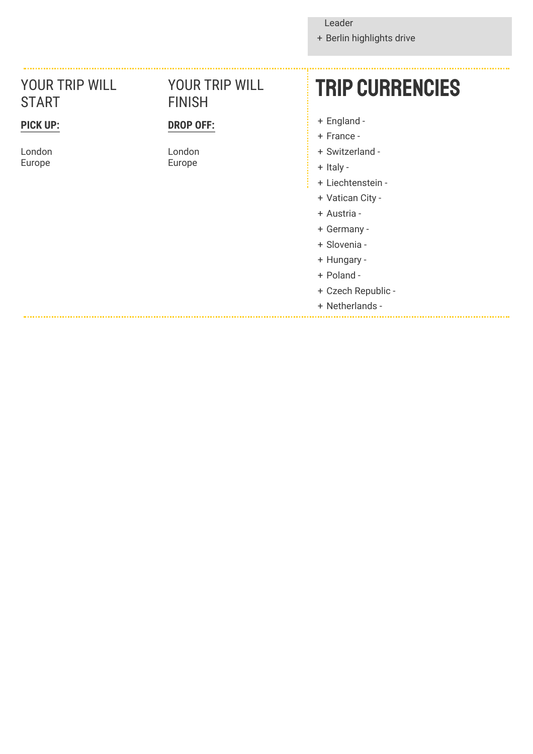+ Berlin highlights drive

#### YOUR TRIP WILL START

#### **PICK UP:**

London Europe

#### YOUR TRIP WILL FINISH

#### **DROP OFF:**

London Europe

## Trip currencies

- + England -
- + France -
- + Switzerland -
- + Italy -
- + Liechtenstein -
- + Vatican City -
- + Austria -
- + Germany -
- + Slovenia -
- + Hungary -
- + Poland -
- + Czech Republic -
- + Netherlands -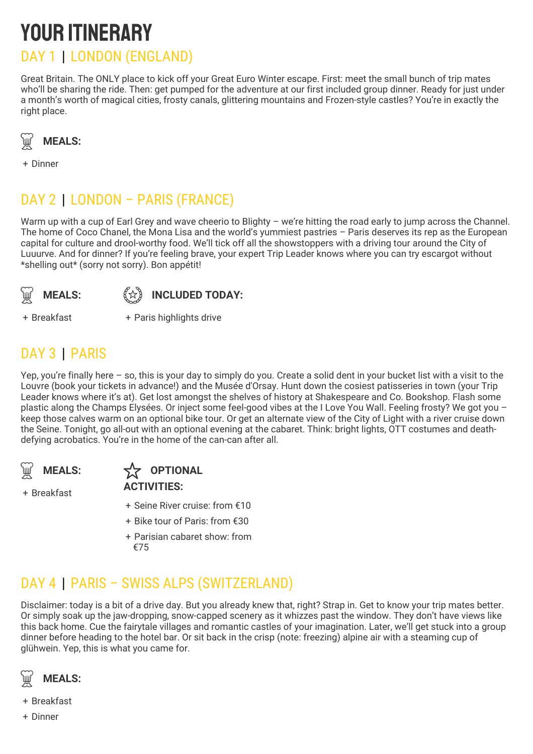## YOUR ITINERARY DAY 1 | LONDON (ENGLAND)

Great Britain. The ONLY place to kick off your Great Euro Winter escape. First: meet the small bunch of trip mates who'll be sharing the ride. Then: get pumped for the adventure at our first included group dinner. Ready for just under a month's worth of magical cities, frosty canals, glittering mountains and Frozen-style castles? You're in exactly the right place.



+ Dinner

### DAY 2 | LONDON – PARIS (FRANCE)

Warm up with a cup of Earl Grey and wave cheerio to Blighty - we're hitting the road early to jump across the Channel. The home of Coco Chanel, the Mona Lisa and the world's yummiest pastries – Paris deserves its rep as the European capital for culture and drool-worthy food. We'll tick off all the showstoppers with a driving tour around the City of Luuurve. And for dinner? If you're feeling brave, your expert Trip Leader knows where you can try escargot without \*shelling out\* (sorry not sorry). Bon appétit!





+ Breakfast +

+ Paris highlights drive

### DAY 3 | PARIS

Yep, you're finally here – so, this is your day to simply do you. Create a solid dent in your bucket list with a visit to the Louvre (book your tickets in advance!) and the Musée d'Orsay. Hunt down the cosiest patisseries in town (your Trip Leader knows where it's at). Get lost amongst the shelves of history at Shakespeare and Co. Bookshop. Flash some plastic along the Champs Elysées. Or inject some feel-good vibes at the I Love You Wall. Feeling frosty? We got you – keep those calves warm on an optional bike tour. Or get an alternate view of the City of Light with a river cruise down the Seine. Tonight, go all-out with an optional evening at the cabaret. Think: bright lights, OTT costumes and deathdefying acrobatics. You're in the home of the can-can after all.



+ Breakfast

#### **WEALS:**  $\overleftrightarrow{X}$  OPTIONAL **ACTIVITIES:**

- + Seine River cruise: from €10
- + Bike tour of Paris: from €30
- + Parisian cabaret show: from €75

### DAY 4 | PARIS – SWISS ALPS (SWITZERLAND)

Disclaimer: today is a bit of a drive day. But you already knew that, right? Strap in. Get to know your trip mates better. Or simply soak up the jaw-dropping, snow-capped scenery as it whizzes past the window. They don't have views like this back home. Cue the fairytale villages and romantic castles of your imagination. Later, we'll get stuck into a group dinner before heading to the hotel bar. Or sit back in the crisp (note: freezing) alpine air with a steaming cup of glühwein. Yep, this is what you came for.



- + Breakfast
- + Dinner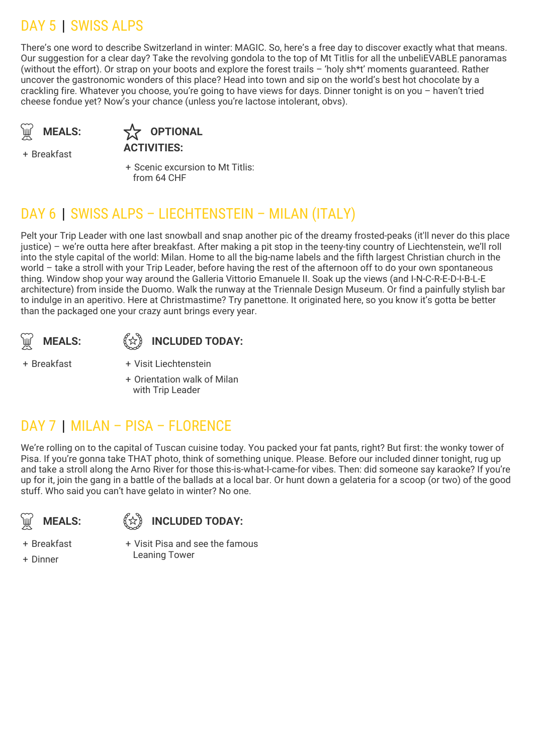### DAY 5 | SWISS ALPS

There's one word to describe Switzerland in winter: MAGIC. So, here's a free day to discover exactly what that means. Our suggestion for a clear day? Take the revolving gondola to the top of Mt Titlis for all the unbeliEVABLE panoramas (without the effort). Or strap on your boots and explore the forest trails – 'holy sh\*t' moments guaranteed. Rather uncover the gastronomic wonders of this place? Head into town and sip on the world's best hot chocolate by a crackling fire. Whatever you choose, you're going to have views for days. Dinner tonight is on you – haven't tried cheese fondue yet? Now's your chance (unless you're lactose intolerant, obvs).



**OPTIONAL ACTIVITIES:**

+ Breakfast

+ Scenic excursion to Mt Titlis: from 64 CHF

### DAY 6 | SWISS ALPS – LIECHTENSTEIN – MILAN (ITALY)

Pelt your Trip Leader with one last snowball and snap another pic of the dreamy frosted-peaks (it'll never do this place justice) – we're outta here after breakfast. After making a pit stop in the teeny-tiny country of Liechtenstein, we'll roll into the style capital of the world: Milan. Home to all the big-name labels and the fifth largest Christian church in the world – take a stroll with your Trip Leader, before having the rest of the afternoon off to do your own spontaneous thing. Window shop your way around the Galleria Vittorio Emanuele II. Soak up the views (and I-N-C-R-E-D-I-B-L-E architecture) from inside the Duomo. Walk the runway at the Triennale Design Museum. Or find a painfully stylish bar to indulge in an aperitivo. Here at Christmastime? Try panettone. It originated here, so you know it's gotta be better than the packaged one your crazy aunt brings every year.



#### **INCLUDED TODAY:**

+ Breakfast +

+ Orientation walk of Milan with Trip Leader

Visit Liechtenstein

#### DAY 7 | MILAN – PISA – FLORENCE

We're rolling on to the capital of Tuscan cuisine today. You packed your fat pants, right? But first: the wonky tower of Pisa. If you're gonna take THAT photo, think of something unique. Please. Before our included dinner tonight, rug up and take a stroll along the Arno River for those this-is-what-I-came-for vibes. Then: did someone say karaoke? If you're up for it, join the gang in a battle of the ballads at a local bar. Or hunt down a gelateria for a scoop (or two) of the good stuff. Who said you can't have gelato in winter? No one.

**MEALS:** (分)



+ Breakfast

+ Dinner

+ Visit Pisa and see the famous Leaning Tower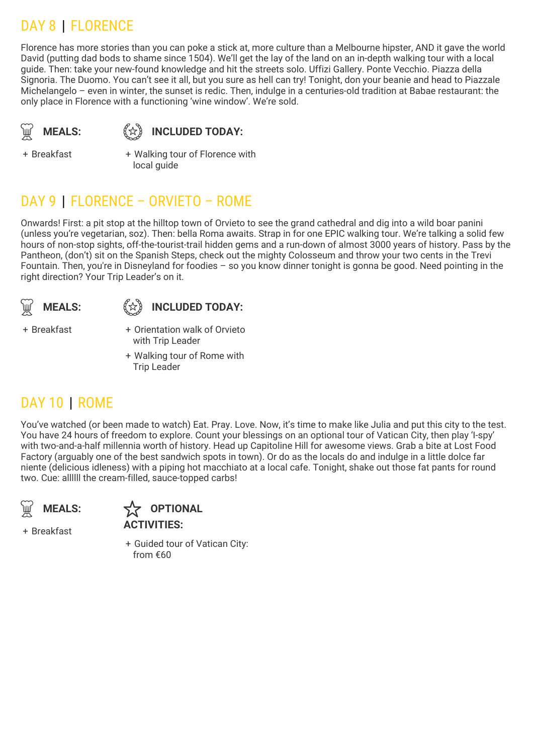### DAY 8 | FLORENCE

Florence has more stories than you can poke a stick at, more culture than a Melbourne hipster, AND it gave the world David (putting dad bods to shame since 1504). We'll get the lay of the land on an in-depth walking tour with a local guide. Then: take your new-found knowledge and hit the streets solo. Uffizi Gallery. Ponte Vecchio. Piazza della Signoria. The Duomo. You can't see it all, but you sure as hell can try! Tonight, don your beanie and head to Piazzale Michelangelo – even in winter, the sunset is redic. Then, indulge in a centuries-old tradition at Babae restaurant: the only place in Florence with a functioning 'wine window'. We're sold.

**MEALS:** 《☆》

#### **INCLUDED TODAY:**

+ Breakfast +

Walking tour of Florence with local guide

#### DAY 9 | FLORENCE – ORVIETO – ROME

Onwards! First: a pit stop at the hilltop town of Orvieto to see the grand cathedral and dig into a wild boar panini (unless you're vegetarian, soz). Then: bella Roma awaits. Strap in for one EPIC walking tour. We're talking a solid few hours of non-stop sights, off-the-tourist-trail hidden gems and a run-down of almost 3000 years of history. Pass by the Pantheon, (don't) sit on the Spanish Steps, check out the mighty Colosseum and throw your two cents in the Trevi Fountain. Then, you're in Disneyland for foodies – so you know dinner tonight is gonna be good. Need pointing in the right direction? Your Trip Leader's on it.





+ Breakfast +

+ Orientation walk of Orvieto with Trip Leader

+ Walking tour of Rome with Trip Leader

#### DAY 10 | ROME

You've watched (or been made to watch) Eat. Pray. Love. Now, it's time to make like Julia and put this city to the test. You have 24 hours of freedom to explore. Count your blessings on an optional tour of Vatican City, then play 'I-spy' with two-and-a-half millennia worth of history. Head up Capitoline Hill for awesome views. Grab a bite at Lost Food Factory (arguably one of the best sandwich spots in town). Or do as the locals do and indulge in a little dolce far niente (delicious idleness) with a piping hot macchiato at a local cafe. Tonight, shake out those fat pants for round two. Cue: allllll the cream-filled, sauce-topped carbs!





+ Breakfast

+ Guided tour of Vatican City: from €60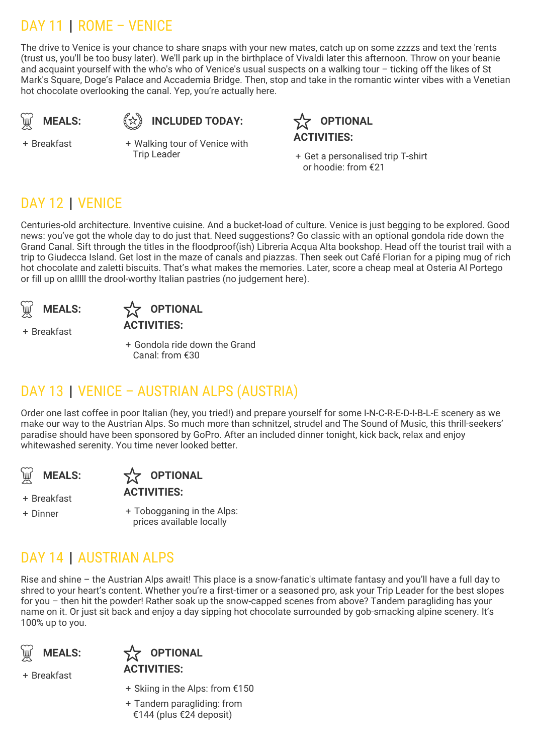### DAY 11 | ROME – VENICE

The drive to Venice is your chance to share snaps with your new mates, catch up on some zzzzs and text the 'rents (trust us, you'll be too busy later). We'll park up in the birthplace of Vivaldi later this afternoon. Throw on your beanie and acquaint yourself with the who's who of Venice's usual suspects on a walking tour – ticking off the likes of St Mark's Square, Doge's Palace and Accademia Bridge. Then, stop and take in the romantic winter vibes with a Venetian hot chocolate overlooking the canal. Yep, you're actually here.

$$
\bigcirc \hspace{-0.1cm} \bigcirc \hspace{-0.1cm} \bigcirc \hspace{-0.1cm} \mathsf{MEALS:}
$$

**INCLUDED TODAY:**

**OPTIONAL ACTIVITIES:**

+ Breakfast +

Walking tour of Venice with **Trip Leader** 

+ Get a personalised trip T-shirt or hoodie: from €21

### DAY 12 | VENICE

Centuries-old architecture. Inventive cuisine. And a bucket-load of culture. Venice is just begging to be explored. Good news: you've got the whole day to do just that. Need suggestions? Go classic with an optional gondola ride down the Grand Canal. Sift through the titles in the floodproof(ish) Libreria Acqua Alta bookshop. Head off the tourist trail with a trip to Giudecca Island. Get lost in the maze of canals and piazzas. Then seek out Café Florian for a piping mug of rich hot chocolate and zaletti biscuits. That's what makes the memories. Later, score a cheap meal at Osteria Al Portego or fill up on alllll the drool-worthy Italian pastries (no judgement here).

**MEALS:**

+ Breakfast



+ Gondola ride down the Grand Canal: from €30

### DAY 13 | VENICE – AUSTRIAN ALPS (AUSTRIA)

Order one last coffee in poor Italian (hey, you tried!) and prepare yourself for some I-N-C-R-E-D-I-B-L-E scenery as we make our way to the Austrian Alps. So much more than schnitzel, strudel and The Sound of Music, this thrill-seekers' paradise should have been sponsored by GoPro. After an included dinner tonight, kick back, relax and enjoy whitewashed serenity. You time never looked better.

**MEALS:** 

**OPTIONAL** 

**ACTIVITIES:**

+ Dinner +

+ Breakfast

+ Tobogganing in the Alps: prices available locally

### DAY 14 | AUSTRIAN ALPS

Rise and shine – the Austrian Alps await! This place is a snow-fanatic's ultimate fantasy and you'll have a full day to shred to your heart's content. Whether you're a first-timer or a seasoned pro, ask your Trip Leader for the best slopes for you – then hit the powder! Rather soak up the snow-capped scenes from above? Tandem paragliding has your name on it. Or just sit back and enjoy a day sipping hot chocolate surrounded by gob-smacking alpine scenery. It's 100% up to you.





- + Breakfast
- + Skiing in the Alps: from €150
- + Tandem paragliding: from €144 (plus €24 deposit)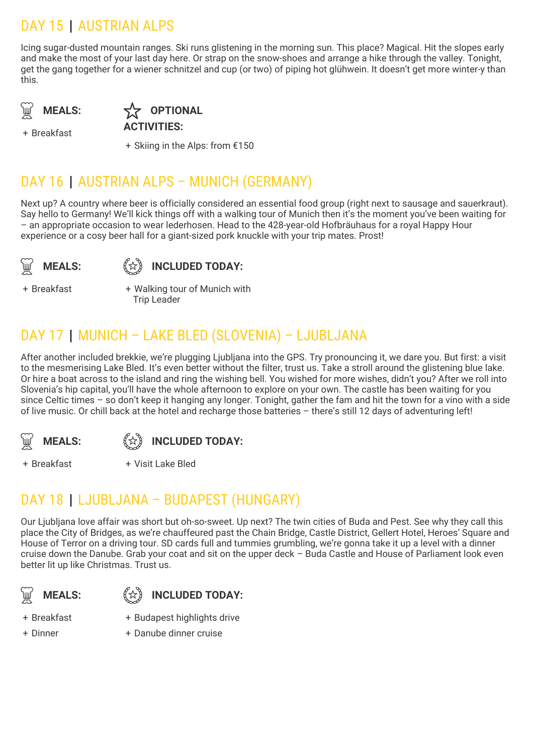### DAY 15 | AUSTRIAN ALPS

Icing sugar-dusted mountain ranges. Ski runs glistening in the morning sun. This place? Magical. Hit the slopes early and make the most of your last day here. Or strap on the snow-shoes and arrange a hike through the valley. Tonight, get the gang together for a wiener schnitzel and cup (or two) of piping hot glühwein. It doesn't get more winter-y than this.

**MEALS:** 

**OPTIONAL ACTIVITIES:**

+ Breakfast

+ Skiing in the Alps: from €150

#### DAY 16 | AUSTRIAN ALPS – MUNICH (GERMANY)

Next up? A country where beer is officially considered an essential food group (right next to sausage and sauerkraut). Say hello to Germany! We'll kick things off with a walking tour of Munich then it's the moment you've been waiting for – an appropriate occasion to wear lederhosen. Head to the 428-year-old Hofbräuhaus for a royal Happy Hour experience or a cosy beer hall for a giant-sized pork knuckle with your trip mates. Prost!

**MEALS:** 《☆》



+ Breakfast +

Walking tour of Munich with Trip Leader

### DAY 17 | MUNICH – LAKE BLED (SLOVENIA) – LJUBLJANA

After another included brekkie, we're plugging Ljubljana into the GPS. Try pronouncing it, we dare you. But first: a visit to the mesmerising Lake Bled. It's even better without the filter, trust us. Take a stroll around the glistening blue lake. Or hire a boat across to the island and ring the wishing bell. You wished for more wishes, didn't you? After we roll into Slovenia's hip capital, you'll have the whole afternoon to explore on your own. The castle has been waiting for you since Celtic times – so don't keep it hanging any longer. Tonight, gather the fam and hit the town for a vino with a side of live music. Or chill back at the hotel and recharge those batteries – there's still 12 days of adventuring left!



#### **INCLUDED TODAY:**

+ Breakfast + Visit Lake Bled

#### DAY 18 | LJUBLJANA – BUDAPEST (HUNGARY)

Our Ljubljana love affair was short but oh-so-sweet. Up next? The twin cities of Buda and Pest. See why they call this place the City of Bridges, as we're chauffeured past the Chain Bridge, Castle District, Gellert Hotel, Heroes' Square and House of Terror on a driving tour. SD cards full and tummies grumbling, we're gonna take it up a level with a dinner cruise down the Danube. Grab your coat and sit on the upper deck – Buda Castle and House of Parliament look even better lit up like Christmas. Trust us.





- + Breakfast
- + Dinner
- + Budapest highlights drive
- + Danube dinner cruise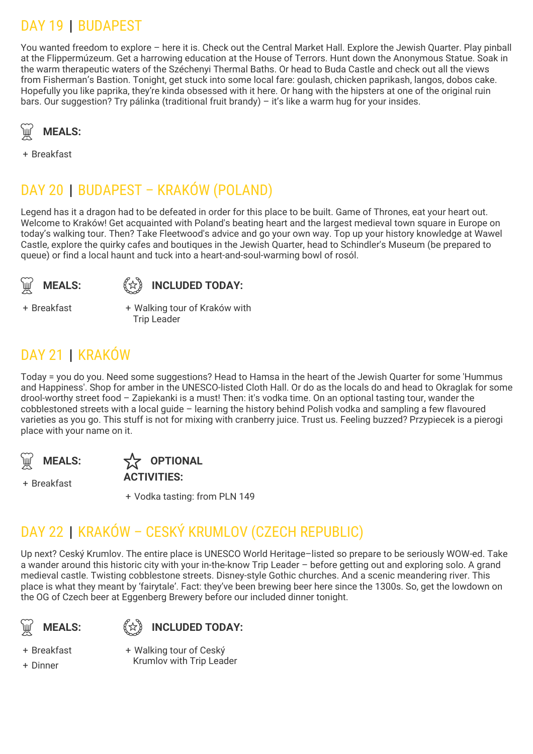### DAY 19 | BUDAPEST

You wanted freedom to explore – here it is. Check out the Central Market Hall. Explore the Jewish Quarter. Play pinball at the Flippermúzeum. Get a harrowing education at the House of Terrors. Hunt down the Anonymous Statue. Soak in the warm therapeutic waters of the Széchenyi Thermal Baths. Or head to Buda Castle and check out all the views from Fisherman's Bastion. Tonight, get stuck into some local fare: goulash, chicken paprikash, langos, dobos cake. Hopefully you like paprika, they're kinda obsessed with it here. Or hang with the hipsters at one of the original ruin bars. Our suggestion? Try pálinka (traditional fruit brandy) – it's like a warm hug for your insides.



+ Breakfast

### DAY 20 | BUDAPEST – KRAKÓW (POLAND)

Legend has it a dragon had to be defeated in order for this place to be built. Game of Thrones, eat your heart out. Welcome to Kraków! Get acquainted with Poland's beating heart and the largest medieval town square in Europe on today's walking tour. Then? Take Fleetwood's advice and go your own way. Top up your history knowledge at Wawel Castle, explore the quirky cafes and boutiques in the Jewish Quarter, head to Schindler's Museum (be prepared to queue) or find a local haunt and tuck into a heart-and-soul-warming bowl of rosól.





+ Breakfast +

Walking tour of Kraków with Trip Leader

### DAY 21 | KRAKÓW

Today = you do you. Need some suggestions? Head to Hamsa in the heart of the Jewish Quarter for some 'Hummus and Happiness'. Shop for amber in the UNESCO-listed Cloth Hall. Or do as the locals do and head to Okraglak for some drool-worthy street food – Zapiekanki is a must! Then: it's vodka time. On an optional tasting tour, wander the cobblestoned streets with a local guide – learning the history behind Polish vodka and sampling a few flavoured varieties as you go. This stuff is not for mixing with cranberry juice. Trust us. Feeling buzzed? Przypiecek is a pierogi place with your name on it.

**MEALS:** 

+ Breakfast



**ACTIVITIES:**

+ Vodka tasting: from PLN 149

### DAY 22 | KRAKÓW – CESKÝ KRUMLOV (CZECH REPUBLIC)

Up next? Ceský Krumlov. The entire place is UNESCO World Heritage–listed so prepare to be seriously WOW-ed. Take a wander around this historic city with your in-the-know Trip Leader – before getting out and exploring solo. A grand medieval castle. Twisting cobblestone streets. Disney-style Gothic churches. And a scenic meandering river. This place is what they meant by 'fairytale'. Fact: they've been brewing beer here since the 1300s. So, get the lowdown on the OG of Czech beer at Eggenberg Brewery before our included dinner tonight.

**MEALS:** (分)

**INCLUDED TODAY:**

+ Breakfast

+ Dinner

+ Walking tour of Ceský Krumlov with Trip Leader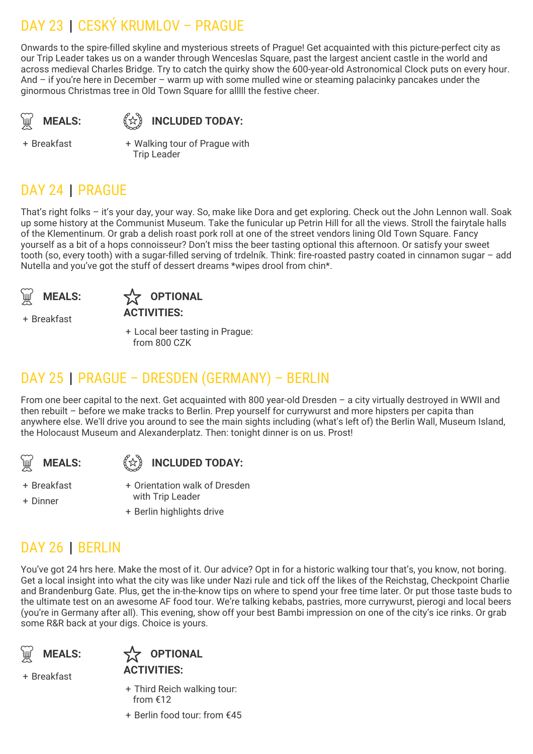### DAY 23 | CESKÝ KRUMLOV – PRAGUE

Onwards to the spire-filled skyline and mysterious streets of Prague! Get acquainted with this picture-perfect city as our Trip Leader takes us on a wander through Wenceslas Square, past the largest ancient castle in the world and across medieval Charles Bridge. Try to catch the quirky show the 600-year-old Astronomical Clock puts on every hour. And – if you're here in December – warm up with some mulled wine or steaming palacinky pancakes under the ginormous Christmas tree in Old Town Square for alllll the festive cheer.

**MEALS:** 《☆》

**INCLUDED TODAY:**

+ Breakfast +

Walking tour of Prague with Trip Leader

### DAY 24 | PRAGUE

That's right folks – it's your day, your way. So, make like Dora and get exploring. Check out the John Lennon wall. Soak up some history at the Communist Museum. Take the funicular up Petrin Hill for all the views. Stroll the fairytale halls of the Klementinum. Or grab a delish roast pork roll at one of the street vendors lining Old Town Square. Fancy yourself as a bit of a hops connoisseur? Don't miss the beer tasting optional this afternoon. Or satisfy your sweet tooth (so, every tooth) with a sugar-filled serving of trdelník. Think: fire-roasted pastry coated in cinnamon sugar – add Nutella and you've got the stuff of dessert dreams \*wipes drool from chin\*.





+ Breakfast

+ Local beer tasting in Prague: from 800 CZK

### DAY 25 | PRAGUE – DRESDEN (GERMANY) – BERLIN

From one beer capital to the next. Get acquainted with 800 year-old Dresden – a city virtually destroyed in WWII and then rebuilt – before we make tracks to Berlin. Prep yourself for currywurst and more hipsters per capita than anywhere else. We'll drive you around to see the main sights including (what's left of) the Berlin Wall, Museum Island, the Holocaust Museum and Alexanderplatz. Then: tonight dinner is on us. Prost!



**INCLUDED TODAY:**

+ Orientation walk of Dresden

+ Breakfast

- + Dinner
- + Berlin highlights drive with Trip Leader

#### DAY 26 | BERLIN

You've got 24 hrs here. Make the most of it. Our advice? Opt in for a historic walking tour that's, you know, not boring. Get a local insight into what the city was like under Nazi rule and tick off the likes of the Reichstag, Checkpoint Charlie and Brandenburg Gate. Plus, get the in-the-know tips on where to spend your free time later. Or put those taste buds to the ultimate test on an awesome AF food tour. We're talking kebabs, pastries, more currywurst, pierogi and local beers (you're in Germany after all). This evening, show off your best Bambi impression on one of the city's ice rinks. Or grab some R&R back at your digs. Choice is yours.





- + Breakfast
- + Third Reich walking tour: from €12
- + Berlin food tour: from €45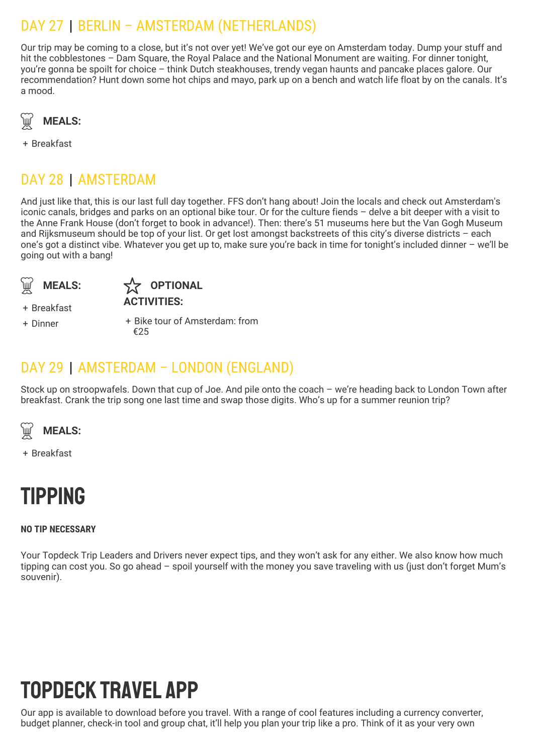### DAY 27 | BERLIN – AMSTERDAM (NETHERLANDS)

Our trip may be coming to a close, but it's not over yet! We've got our eye on Amsterdam today. Dump your stuff and hit the cobblestones – Dam Square, the Royal Palace and the National Monument are waiting. For dinner tonight, you're gonna be spoilt for choice – think Dutch steakhouses, trendy vegan haunts and pancake places galore. Our recommendation? Hunt down some hot chips and mayo, park up on a bench and watch life float by on the canals. It's a mood.



+ Breakfast

### DAY 28 | AMSTERDAM

And just like that, this is our last full day together. FFS don't hang about! Join the locals and check out Amsterdam's iconic canals, bridges and parks on an optional bike tour. Or for the culture fiends – delve a bit deeper with a visit to the Anne Frank House (don't forget to book in advance!). Then: there's 51 museums here but the Van Gogh Museum and Rijksmuseum should be top of your list. Or get lost amongst backstreets of this city's diverse districts – each one's got a distinct vibe. Whatever you get up to, make sure you're back in time for tonight's included dinner – we'll be going out with a bang!





+ Breakfast

+ Dinner +

+ Bike tour of Amsterdam: from €25

#### DAY 29 | AMSTERDAM – LONDON (ENGLAND)

Stock up on stroopwafels. Down that cup of Joe. And pile onto the coach – we're heading back to London Town after breakfast. Crank the trip song one last time and swap those digits. Who's up for a summer reunion trip?



+ Breakfast

## Tipping

#### **NO TIP NECESSARY**

Your Topdeck Trip Leaders and Drivers never expect tips, and they won't ask for any either. We also know how much tipping can cost you. So go ahead – spoil yourself with the money you save traveling with us (just don't forget Mum's souvenir).

## Topdeck Travel App

Our app is available to download before you travel. With a range of cool features including a currency converter, budget planner, check-in tool and group chat, it'll help you plan your trip like a pro. Think of it as your very own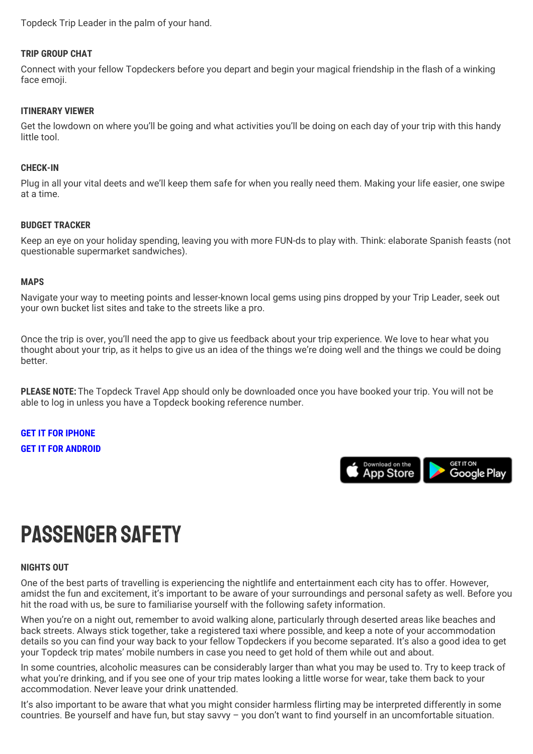Topdeck Trip Leader in the palm of your hand.

#### **TRIP GROUP CHAT**

Connect with your fellow Topdeckers before you depart and begin your magical friendship in the flash of a winking face emoji.

#### **ITINERARY VIEWER**

Get the lowdown on where you'll be going and what activities you'll be doing on each day of your trip with this handy little tool.

#### **CHECK-IN**

Plug in all your vital deets and we'll keep them safe for when you really need them. Making your life easier, one swipe at a time.

#### **BUDGET TRACKER**

Keep an eye on your holiday spending, leaving you with more FUN-ds to play with. Think: elaborate Spanish feasts (not questionable supermarket sandwiches).

#### **MAPS**

Navigate your way to meeting points and lesser-known local gems using pins dropped by your Trip Leader, seek out your own bucket list sites and take to the streets like a pro.

Once the trip is over, you'll need the app to give us feedback about your trip experience. We love to hear what you thought about your trip, as it helps to give us an idea of the things we're doing well and the things we could be doing better.

**PLEASE NOTE:** The Topdeck Travel App should only be downloaded once you have booked your trip. You will not be able to log in unless you have a Topdeck booking reference number.

**GET IT FOR [IPHONE](https://itunes.apple.com/gb/app/topdeck/id994727866?mt=8) GET IT FOR [ANDROID](https://play.google.com/store/apps/details?id=com.FlexiTechSolutions.TopDeck&hl=en)**



## Passenger safety

#### **NIGHTS OUT**

One of the best parts of travelling is experiencing the nightlife and entertainment each city has to offer. However, amidst the fun and excitement, it's important to be aware of your surroundings and personal safety as well. Before you hit the road with us, be sure to familiarise yourself with the following safety information.

When you're on a night out, remember to avoid walking alone, particularly through deserted areas like beaches and back streets. Always stick together, take a registered taxi where possible, and keep a note of your accommodation details so you can find your way back to your fellow Topdeckers if you become separated. It's also a good idea to get your Topdeck trip mates' mobile numbers in case you need to get hold of them while out and about.

In some countries, alcoholic measures can be considerably larger than what you may be used to. Try to keep track of what you're drinking, and if you see one of your trip mates looking a little worse for wear, take them back to your accommodation. Never leave your drink unattended.

It's also important to be aware that what you might consider harmless flirting may be interpreted differently in some countries. Be yourself and have fun, but stay savvy – you don't want to find yourself in an uncomfortable situation.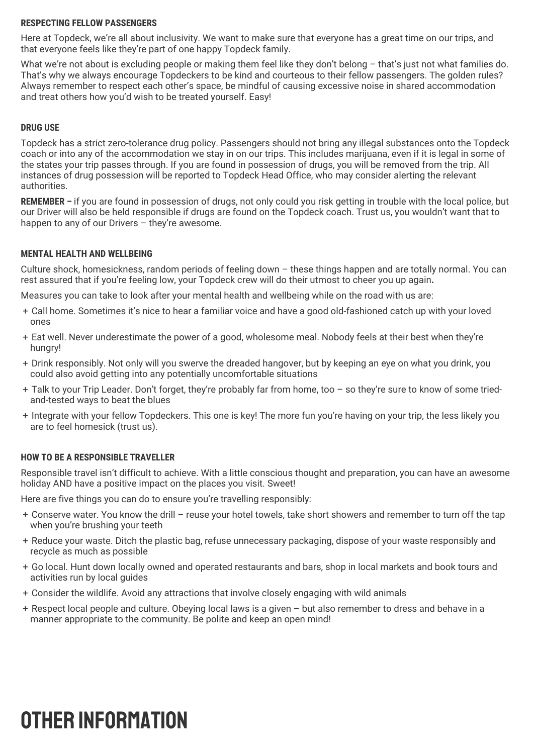#### **RESPECTING FELLOW PASSENGERS**

Here at Topdeck, we're all about inclusivity. We want to make sure that everyone has a great time on our trips, and that everyone feels like they're part of one happy Topdeck family.

What we're not about is excluding people or making them feel like they don't belong - that's just not what families do. That's why we always encourage Topdeckers to be kind and courteous to their fellow passengers. The golden rules? Always remember to respect each other's space, be mindful of causing excessive noise in shared accommodation and treat others how you'd wish to be treated yourself. Easy!

#### **DRUG USE**

Topdeck has a strict zero-tolerance drug policy. Passengers should not bring any illegal substances onto the Topdeck coach or into any of the accommodation we stay in on our trips. This includes marijuana, even if it is legal in some of the states your trip passes through. If you are found in possession of drugs, you will be removed from the trip. All instances of drug possession will be reported to Topdeck Head Office, who may consider alerting the relevant authorities.

**REMEMBER –** if you are found in possession of drugs, not only could you risk getting in trouble with the local police, but our Driver will also be held responsible if drugs are found on the Topdeck coach. Trust us, you wouldn't want that to happen to any of our Drivers – they're awesome.

#### **MENTAL HEALTH AND WELLBEING**

Culture shock, homesickness, random periods of feeling down – these things happen and are totally normal. You can rest assured that if you're feeling low, your Topdeck crew will do their utmost to cheer you up again**.**

Measures you can take to look after your mental health and wellbeing while on the road with us are:

- + Call home. Sometimes it's nice to hear a familiar voice and have a good old-fashioned catch up with your loved ones
- + Eat well. Never underestimate the power of a good, wholesome meal. Nobody feels at their best when they're hungry!
- + Drink responsibly. Not only will you swerve the dreaded hangover, but by keeping an eye on what you drink, you could also avoid getting into any potentially uncomfortable situations
- + Talk to your Trip Leader. Don't forget, they're probably far from home, too so they're sure to know of some triedand-tested ways to beat the blues
- + Integrate with your fellow Topdeckers. This one is key! The more fun you're having on your trip, the less likely you are to feel homesick (trust us).

#### **HOW TO BE A RESPONSIBLE TRAVELLER**

Responsible travel isn't difficult to achieve. With a little conscious thought and preparation, you can have an awesome holiday AND have a positive impact on the places you visit. Sweet!

Here are five things you can do to ensure you're travelling responsibly:

- + Conserve water. You know the drill reuse your hotel towels, take short showers and remember to turn off the tap when you're brushing your teeth
- + Reduce your waste. Ditch the plastic bag, refuse unnecessary packaging, dispose of your waste responsibly and recycle as much as possible
- + Go local. Hunt down locally owned and operated restaurants and bars, shop in local markets and book tours and activities run by local guides
- + Consider the wildlife. Avoid any attractions that involve closely engaging with wild animals
- + Respect local people and culture. Obeying local laws is a given but also remember to dress and behave in a manner appropriate to the community. Be polite and keep an open mind!

## OTHER INFORMATION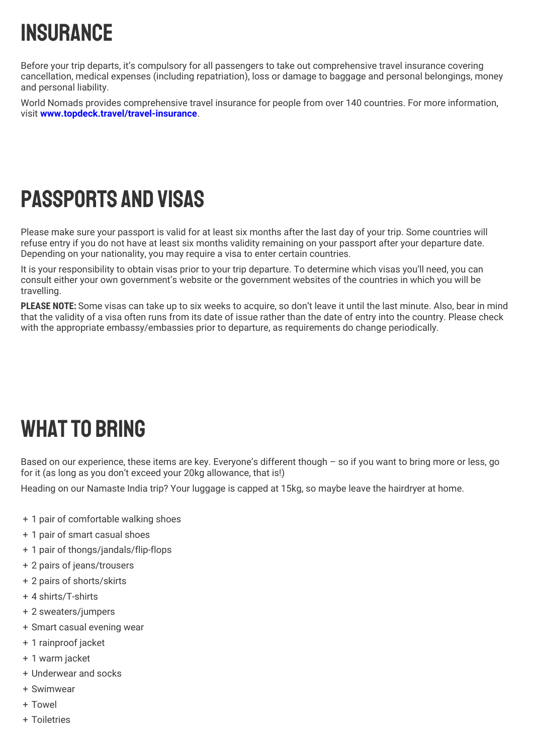# **INSURANCE**

Before your trip departs, it's compulsory for all passengers to take out comprehensive travel insurance covering cancellation, medical expenses (including repatriation), loss or damage to baggage and personal belongings, money and personal liability.

World Nomads provides comprehensive travel insurance for people from over 140 countries. For more information, visit **[www.topdeck.travel/travel-insurance](http://www.topdeck.travel/travel-insurance)**.

## Passports and Visas

Please make sure your passport is valid for at least six months after the last day of your trip. Some countries will refuse entry if you do not have at least six months validity remaining on your passport after your departure date. Depending on your nationality, you may require a visa to enter certain countries.

It is your responsibility to obtain visas prior to your trip departure. To determine which visas you'll need, you can consult either your own government's website or the government websites of the countries in which you will be travelling.

**PLEASE NOTE:** Some visas can take up to six weeks to acquire, so don't leave it until the last minute. Also, bear in mind that the validity of a visa often runs from its date of issue rather than the date of entry into the country. Please check with the appropriate embassy/embassies prior to departure, as requirements do change periodically.

## **WHAT TO BRING**

Based on our experience, these items are key. Everyone's different though – so if you want to bring more or less, go for it (as long as you don't exceed your 20kg allowance, that is!)

Heading on our Namaste India trip? Your luggage is capped at 15kg, so maybe leave the hairdryer at home.

- + 1 pair of comfortable walking shoes
- + 1 pair of smart casual shoes
- + 1 pair of thongs/jandals/flip-flops
- + 2 pairs of jeans/trousers
- + 2 pairs of shorts/skirts
- + 4 shirts/T-shirts
- + 2 sweaters/jumpers
- + Smart casual evening wear
- + 1 rainproof jacket
- + 1 warm jacket
- + Underwear and socks
- + Swimwear
- + Towel
- + Toiletries